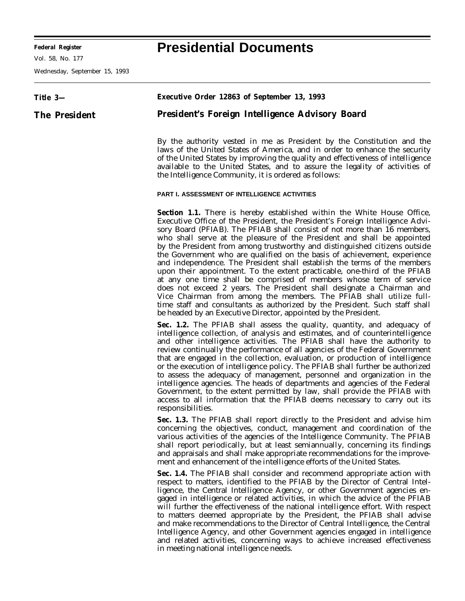**Federal Register Presidential Documents**

Vol. 58, No. 177

Wednesday, September 15, 1993

## **Title 3— The President Executive Order 12863 of September 13, 1993 President's Foreign Intelligence Advisory Board** By the authority vested in me as President by the Constitution and the laws of the United States of America, and in order to enhance the security of the United States by improving the quality and effectiveness of intelligence available to the United States, and to assure the legality of activities of the Intelligence Community, it is ordered as follows: **PART I. ASSESSMENT OF INTELLIGENCE ACTIVITIES Section 1.1.** There is hereby established within the White House Office, Executive Office of the President, the President's Foreign Intelligence Advisory Board (PFIAB). The PFIAB shall consist of not more than 16 members, who shall serve at the pleasure of the President and shall be appointed by the President from among trustworthy and distinguished citizens outside the Government who are qualified on the basis of achievement, experience and independence. The President shall establish the terms of the members upon their appointment. To the extent practicable, one-third of the PFIAB at any one time shall be comprised of members whose term of service does not exceed 2 years. The President shall designate a Chairman and Vice Chairman from among the members. The PFIAB shall utilize fulltime staff and consultants as authorized by the President. Such staff shall be headed by an Executive Director, appointed by the President. **Sec. 1.2.** The PFIAB shall assess the quality, quantity, and adequacy of intelligence collection, of analysis and estimates, and of counterintelligence and other intelligence activities. The PFIAB shall have the authority to review continually the performance of all agencies of the Federal Government that are engaged in the collection, evaluation, or production of intelligence or the execution of intelligence policy. The PFIAB shall further be authorized to assess the adequacy of management, personnel and organization in the intelligence agencies. The heads of departments and agencies of the Federal Government, to the extent permitted by law, shall provide the PFIAB with access to all information that the PFIAB deems necessary to carry out its responsibilities. **Sec. 1.3.** The PFIAB shall report directly to the President and advise him concerning the objectives, conduct, management and coordination of the various activities of the agencies of the Intelligence Community. The PFIAB shall report periodically, but at least semiannually, concerning its findings and appraisals and shall make appropriate recommendations for the improvement and enhancement of the intelligence efforts of the United States.

**Sec. 1.4.** The PFIAB shall consider and recommend appropriate action with respect to matters, identified to the PFIAB by the Director of Central Intelligence, the Central Intelligence Agency, or other Government agencies engaged in intelligence or related activities, in which the advice of the PFIAB will further the effectiveness of the national intelligence effort. With respect to matters deemed appropriate by the President, the PFIAB shall advise and make recommendations to the Director of Central Intelligence, the Central Intelligence Agency, and other Government agencies engaged in intelligence and related activities, concerning ways to achieve increased effectiveness in meeting national intelligence needs.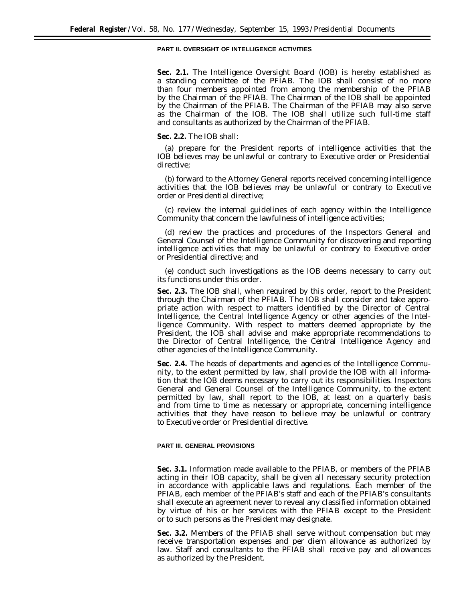## **PART II. OVERSIGHT OF INTELLIGENCE ACTIVITIES**

**Sec. 2.1.** The Intelligence Oversight Board (IOB) is hereby established as a standing committee of the PFIAB. The IOB shall consist of no more than four members appointed from among the membership of the PFIAB by the Chairman of the PFIAB. The Chairman of the IOB shall be appointed by the Chairman of the PFIAB. The Chairman of the PFIAB may also serve as the Chairman of the IOB. The IOB shall utilize such full-time staff and consultants as authorized by the Chairman of the PFIAB.

## **Sec. 2.2.** The IOB shall:

(a) prepare for the President reports of intelligence activities that the IOB believes may be unlawful or contrary to Executive order or Presidential directive;

(b) forward to the Attorney General reports received concerning intelligence activities that the IOB believes may be unlawful or contrary to Executive order or Presidential directive;

(c) review the internal guidelines of each agency within the Intelligence Community that concern the lawfulness of intelligence activities;

(d) review the practices and procedures of the Inspectors General and General Counsel of the Intelligence Community for discovering and reporting intelligence activities that may be unlawful or contrary to Executive order or Presidential directive; and

(e) conduct such investigations as the IOB deems necessary to carry out its functions under this order.

**Sec. 2.3.** The IOB shall, when required by this order, report to the President through the Chairman of the PFIAB. The IOB shall consider and take appropriate action with respect to matters identified by the Director of Central Intelligence, the Central Intelligence Agency or other agencies of the Intelligence Community. With respect to matters deemed appropriate by the President, the IOB shall advise and make appropriate recommendations to the Director of Central Intelligence, the Central Intelligence Agency and other agencies of the Intelligence Community.

**Sec. 2.4.** The heads of departments and agencies of the Intelligence Community, to the extent permitted by law, shall provide the IOB with all information that the IOB deems necessary to carry out its responsibilities. Inspectors General and General Counsel of the Intelligence Community, to the extent permitted by law, shall report to the IOB, at least on a quarterly basis and from time to time as necessary or appropriate, concerning intelligence activities that they have reason to believe may be unlawful or contrary to Executive order or Presidential directive.

## **PART III. GENERAL PROVISIONS**

**Sec. 3.1.** Information made available to the PFIAB, or members of the PFIAB acting in their IOB capacity, shall be given all necessary security protection in accordance with applicable laws and regulations. Each member of the PFIAB, each member of the PFIAB's staff and each of the PFIAB's consultants shall execute an agreement never to reveal any classified information obtained by virtue of his or her services with the PFIAB except to the President or to such persons as the President may designate.

**Sec. 3.2.** Members of the PFIAB shall serve without compensation but may receive transportation expenses and per diem allowance as authorized by law. Staff and consultants to the PFIAB shall receive pay and allowances as authorized by the President.